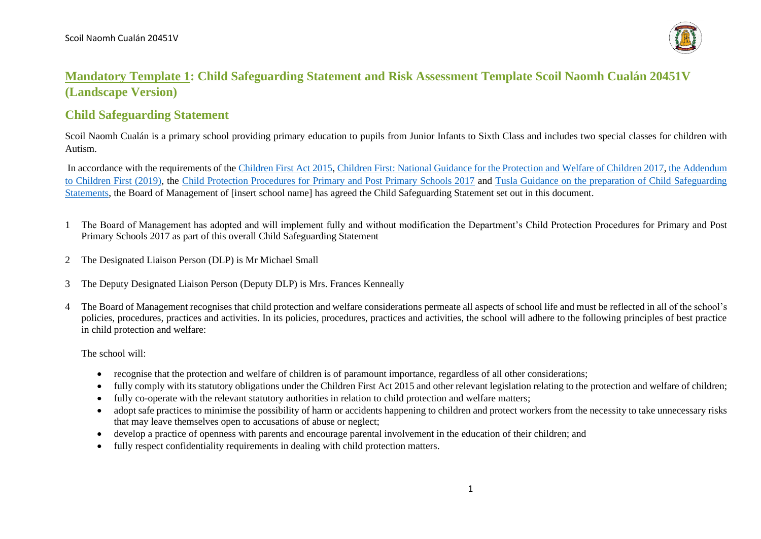

## **Mandatory Template 1: Child Safeguarding Statement and Risk Assessment Template Scoil Naomh Cualán 20451V (Landscape Version)**

## **Child Safeguarding Statement**

Scoil Naomh Cualán is a primary school providing primary education to pupils from Junior Infants to Sixth Class and includes two special classes for children with Autism.

In accordance with the requirements of th[e Children First Act 2015,](http://www.irishstatutebook.ie/eli/2015/act/36/enacted/en/pdf) [Children First: National Guidance for the Protection and Welfare of Children 2017,](https://assets.gov.ie/25844/b90aafa55804462f84d05f87f0ca2bf6.pdf) [the Addendum](https://assets.gov.ie/25819/c9744b64dfd6447985eeffa5c0d71bbb.pdf)  [to Children First \(2019\),](https://assets.gov.ie/25819/c9744b64dfd6447985eeffa5c0d71bbb.pdf) the [Child Protection Procedures for Primary and Post Primary Schools 2017](https://www.gov.ie/pdf/?file=https://assets.gov.ie/45063/2d4b5b3d781e4ec1ab4f3e5d198717d9.pdf#page=1) and [Tusla Guidance on the preparation of Child Safeguarding](https://www.tusla.ie/uploads/content/4214-TUSLA_Guidance_on_Developing_a_CSS_LR.PDF)  [Statements,](https://www.tusla.ie/uploads/content/4214-TUSLA_Guidance_on_Developing_a_CSS_LR.PDF) the Board of Management of [insert school name] has agreed the Child Safeguarding Statement set out in this document.

- 1 The Board of Management has adopted and will implement fully and without modification the Department's Child Protection Procedures for Primary and Post Primary Schools 2017 as part of this overall Child Safeguarding Statement
- 2 The Designated Liaison Person (DLP) is Mr Michael Small
- 3 The Deputy Designated Liaison Person (Deputy DLP) is Mrs. Frances Kenneally
- 4 The Board of Management recognises that child protection and welfare considerations permeate all aspects of school life and must be reflected in all of the school's policies, procedures, practices and activities. In its policies, procedures, practices and activities, the school will adhere to the following principles of best practice in child protection and welfare:

The school will:

- recognise that the protection and welfare of children is of paramount importance, regardless of all other considerations;
- fully comply with its statutory obligations under the Children First Act 2015 and other relevant legislation relating to the protection and welfare of children;
- fully co-operate with the relevant statutory authorities in relation to child protection and welfare matters;
- adopt safe practices to minimise the possibility of harm or accidents happening to children and protect workers from the necessity to take unnecessary risks that may leave themselves open to accusations of abuse or neglect;
- develop a practice of openness with parents and encourage parental involvement in the education of their children; and
- fully respect confidentiality requirements in dealing with child protection matters.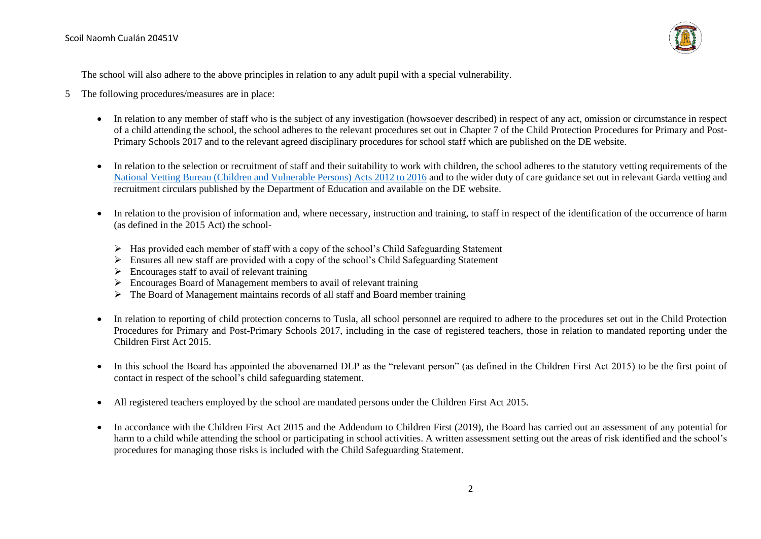

The school will also adhere to the above principles in relation to any adult pupil with a special vulnerability.

- 5 The following procedures/measures are in place:
	- In relation to any member of staff who is the subject of any investigation (howsoever described) in respect of any act, omission or circumstance in respect of a child attending the school, the school adheres to the relevant procedures set out in Chapter 7 of the Child Protection Procedures for Primary and Post-Primary Schools 2017 and to the relevant agreed disciplinary procedures for school staff which are published on the DE website.
	- In relation to the selection or recruitment of staff and their suitability to work with children, the school adheres to the statutory vetting requirements of the [National Vetting Bureau \(Children and Vulnerable Persons\) Acts 2012 to 2016](https://revisedacts.lawreform.ie/eli/2012/act/47/revised/en/pdf) and to the wider duty of care guidance set out in relevant Garda vetting and recruitment circulars published by the Department of Education and available on the DE website.
	- In relation to the provision of information and, where necessary, instruction and training, to staff in respect of the identification of the occurrence of harm (as defined in the 2015 Act) the school-
		- $\triangleright$  Has provided each member of staff with a copy of the school's Child Safeguarding Statement
		- ➢ Ensures all new staff are provided with a copy of the school's Child Safeguarding Statement
		- $\triangleright$  Encourages staff to avail of relevant training
		- ➢ Encourages Board of Management members to avail of relevant training
		- $\triangleright$  The Board of Management maintains records of all staff and Board member training
	- In relation to reporting of child protection concerns to Tusla, all school personnel are required to adhere to the procedures set out in the Child Protection Procedures for Primary and Post-Primary Schools 2017, including in the case of registered teachers, those in relation to mandated reporting under the Children First Act 2015.
	- In this school the Board has appointed the abovenamed DLP as the "relevant person" (as defined in the Children First Act 2015) to be the first point of contact in respect of the school's child safeguarding statement.
	- All registered teachers employed by the school are mandated persons under the Children First Act 2015.
	- In accordance with the Children First Act 2015 and the Addendum to Children First (2019), the Board has carried out an assessment of any potential for harm to a child while attending the school or participating in school activities. A written assessment setting out the areas of risk identified and the school's procedures for managing those risks is included with the Child Safeguarding Statement.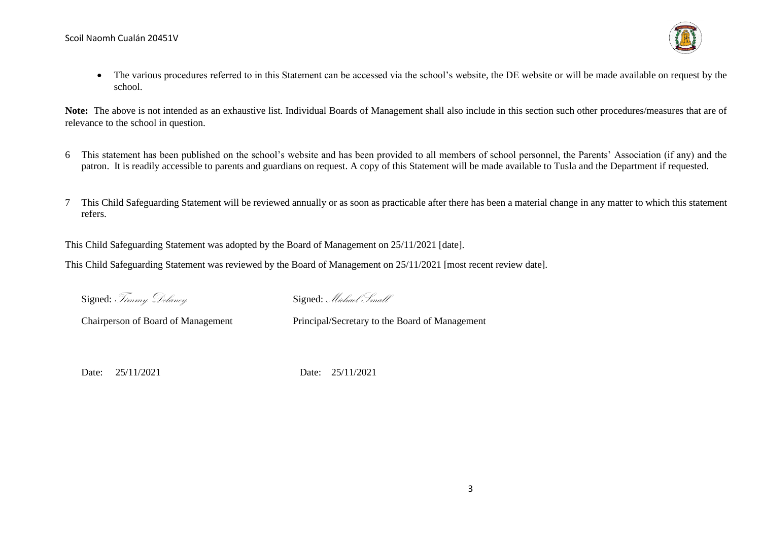

• The various procedures referred to in this Statement can be accessed via the school's website, the DE website or will be made available on request by the school.

**Note:** The above is not intended as an exhaustive list. Individual Boards of Management shall also include in this section such other procedures/measures that are of relevance to the school in question.

- 6 This statement has been published on the school's website and has been provided to all members of school personnel, the Parents' Association (if any) and the patron. It is readily accessible to parents and guardians on request. A copy of this Statement will be made available to Tusla and the Department if requested.
- 7 This Child Safeguarding Statement will be reviewed annually or as soon as practicable after there has been a material change in any matter to which this statement refers.

This Child Safeguarding Statement was adopted by the Board of Management on 25/11/2021 [date].

This Child Safeguarding Statement was reviewed by the Board of Management on 25/11/2021 [most recent review date].

Signed: Timmy Delaney Signed: Michael Small

Chairperson of Board of Management Principal/Secretary to the Board of Management

Date: 25/11/2021 Date: 25/11/2021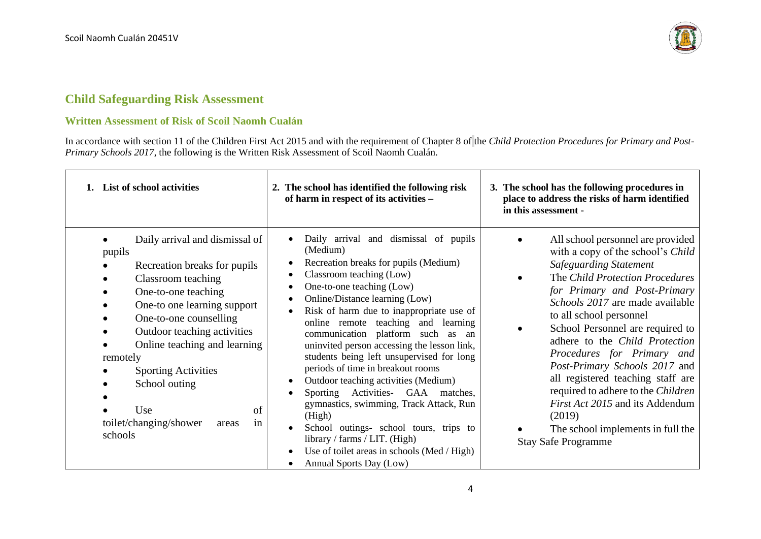

## **Child Safeguarding Risk Assessment**

## **Written Assessment of Risk of Scoil Naomh Cualán**

In accordance with section 11 of the Children First Act 2015 and with the requirement of Chapter 8 of the *Child Protection Procedures for Primary and Post-Primary Schools 2017*, the following is the Written Risk Assessment of Scoil Naomh Cualán.

| 1. List of school activities                                                                                                                                                                                                                                                                                                                                              | 2. The school has identified the following risk<br>of harm in respect of its activities -                                                                                                                                                                                                                                                                                                                                                                                                                                                                                                                                                                                                                                                                                          | 3. The school has the following procedures in<br>place to address the risks of harm identified<br>in this assessment -                                                                                                                                                                                                                                                                                                                                                                                                                                                                                    |
|---------------------------------------------------------------------------------------------------------------------------------------------------------------------------------------------------------------------------------------------------------------------------------------------------------------------------------------------------------------------------|------------------------------------------------------------------------------------------------------------------------------------------------------------------------------------------------------------------------------------------------------------------------------------------------------------------------------------------------------------------------------------------------------------------------------------------------------------------------------------------------------------------------------------------------------------------------------------------------------------------------------------------------------------------------------------------------------------------------------------------------------------------------------------|-----------------------------------------------------------------------------------------------------------------------------------------------------------------------------------------------------------------------------------------------------------------------------------------------------------------------------------------------------------------------------------------------------------------------------------------------------------------------------------------------------------------------------------------------------------------------------------------------------------|
| Daily arrival and dismissal of<br>pupils<br>Recreation breaks for pupils<br>Classroom teaching<br>One-to-one teaching<br>One-to one learning support<br>One-to-one counselling<br>Outdoor teaching activities<br>Online teaching and learning<br>remotely<br><b>Sporting Activities</b><br>School outing<br>Use<br>of<br>toilet/changing/shower<br>in<br>areas<br>schools | Daily arrival and dismissal of pupils<br>(Medium)<br>Recreation breaks for pupils (Medium)<br>Classroom teaching (Low)<br>One-to-one teaching (Low)<br>Online/Distance learning (Low)<br>Risk of harm due to inappropriate use of<br>online remote teaching and learning<br>communication platform such<br>as<br>an<br>uninvited person accessing the lesson link,<br>students being left unsupervised for long<br>periods of time in breakout rooms<br>Outdoor teaching activities (Medium)<br>$\bullet$<br>Sporting Activities- GAA matches,<br>$\bullet$<br>gymnastics, swimming, Track Attack, Run<br>(High)<br>School outings- school tours, trips to<br>library / farms / LIT. (High)<br>Use of toilet areas in schools (Med / High)<br>$\bullet$<br>Annual Sports Day (Low) | All school personnel are provided<br>$\bullet$<br>with a copy of the school's Child<br><b>Safeguarding Statement</b><br>The Child Protection Procedures<br>$\bullet$<br>for Primary and Post-Primary<br>Schools 2017 are made available<br>to all school personnel<br>School Personnel are required to<br>adhere to the Child Protection<br>Procedures for Primary and<br>Post-Primary Schools 2017 and<br>all registered teaching staff are<br>required to adhere to the Children<br><i>First Act 2015</i> and its Addendum<br>(2019)<br>The school implements in full the<br><b>Stay Safe Programme</b> |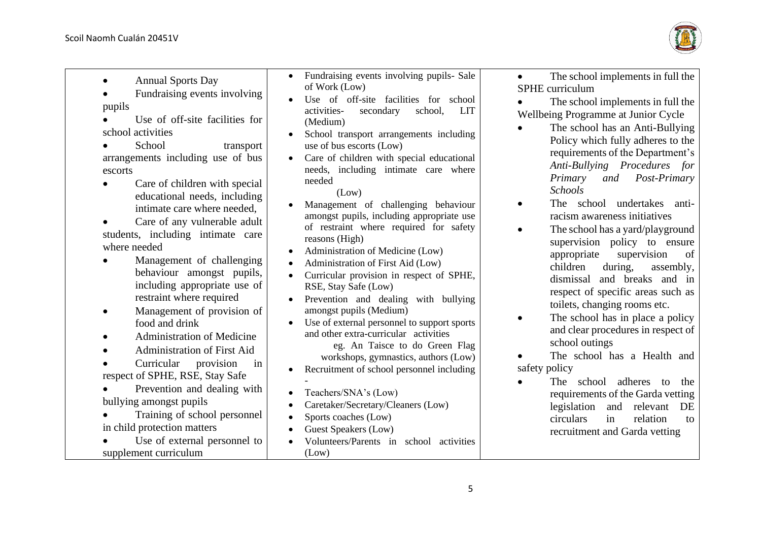

• Annual Sports Day

• Fundraising events involving pupils

• Use of off-site facilities for school activities

School transport arrangements including use of bus escorts

- Care of children with special educational needs, including intimate care where needed,
- Care of any vulnerable adult students, including intimate care where needed
- Management of challenging behaviour amongst pupils, including appropriate use of restraint where required
- Management of provision of food and drink
- Administration of Medicine
- Administration of First Aid

• Curricular provision in respect of SPHE, RSE, Stay Safe

• Prevention and dealing with bullying amongst pupils

- Training of school personnel in child protection matters
- Use of external personnel to supplement curriculum
- Fundraising events involving pupils- Sale of Work (Low)
- Use of off-site facilities for school activities- secondary school, LIT (Medium)
- School transport arrangements including use of bus escorts (Low)
- Care of children with special educational needs, including intimate care where needed

(Low)

- Management of challenging behaviour amongst pupils, including appropriate use of restraint where required for safety reasons (High)
- Administration of Medicine (Low)
- Administration of First Aid (Low)
- Curricular provision in respect of SPHE, RSE, Stay Safe (Low)
- Prevention and dealing with bullying amongst pupils (Medium)
- Use of external personnel to support sports and other extra-curricular activities eg. An Taisce to do Green Flag workshops, gymnastics, authors (Low)
- Recruitment of school personnel including -
- Teachers/SNA's (Low)
- Caretaker/Secretary/Cleaners (Low)
- Sports coaches (Low)
- Guest Speakers (Low)
- Volunteers/Parents in school activities  $($ I  $ow)$

• The school implements in full the SPHE curriculum

• The school implements in full the Wellbeing Programme at Junior Cycle

- The school has an Anti-Bullying Policy which fully adheres to the requirements of the Department's *Anti-Bullying Procedures for Primary and Post-Primary Schools*
- The school undertakes antiracism awareness initiatives
- The school has a yard/playground supervision policy to ensure appropriate supervision of children during, assembly, dismissal and breaks and in respect of specific areas such as toilets, changing rooms etc.
- The school has in place a policy and clear procedures in respect of school outings
- The school has a Health and safety policy
- The school adheres to the requirements of the Garda vetting legislation and relevant DE circulars in relation to recruitment and Garda vetting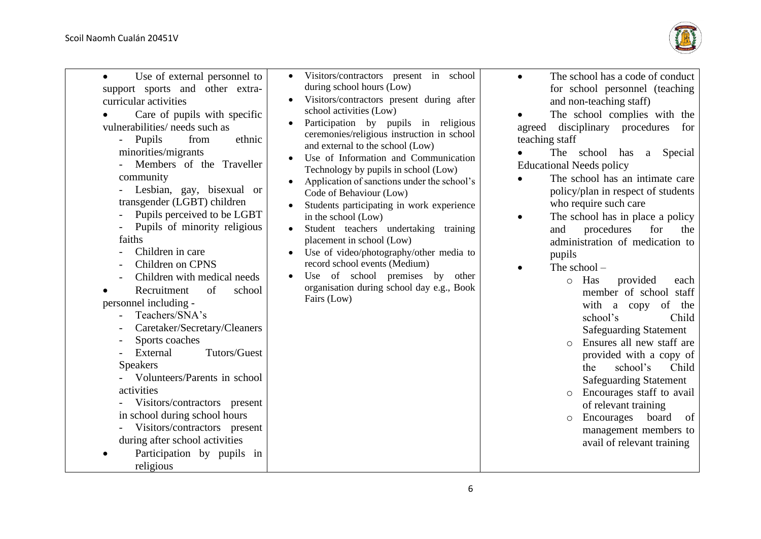

| Use of external personnel to<br>support sports and other extra-<br>curricular activities<br>Care of pupils with specific<br>vulnerabilities/ needs such as<br>Pupils<br>ethnic<br>from<br>$\sim$ 100 $\mu$<br>minorities/migrants<br>Members of the Traveller<br>community<br>Lesbian, gay, bisexual or<br>transgender (LGBT) children<br>Pupils perceived to be LGBT<br>Pupils of minority religious<br>faiths<br>Children in care<br>Children on CPNS<br>Children with medical needs<br>Recruitment<br>of<br>school<br>personnel including -<br>Teachers/SNA's<br>Caretaker/Secretary/Cleaners<br>Sports coaches<br>Tutors/Guest<br>External<br><b>Speakers</b><br>Volunteers/Parents in school<br>activities<br>Visitors/contractors present<br>in school during school hours<br>Visitors/contractors present<br>during after school activities<br>Participation by pupils in<br>religious | Visitors/contractors present in school<br>during school hours (Low)<br>Visitors/contractors present during after<br>school activities (Low)<br>Participation by pupils in religious<br>ceremonies/religious instruction in school<br>and external to the school (Low)<br>Use of Information and Communication<br>Technology by pupils in school (Low)<br>Application of sanctions under the school's<br>Code of Behaviour (Low)<br>Students participating in work experience<br>in the school (Low)<br>Student teachers undertaking training<br>placement in school (Low)<br>Use of video/photography/other media to<br>record school events (Medium)<br>Use of school premises by<br>other<br>organisation during school day e.g., Book<br>Fairs (Low) | The school has a code of conduct<br>for school personnel (teaching<br>and non-teaching staff)<br>The school complies with the<br>disciplinary procedures<br>agreed<br>for<br>teaching staff<br>The school has<br>Special<br>a<br><b>Educational Needs policy</b><br>The school has an intimate care<br>policy/plan in respect of students<br>who require such care<br>The school has in place a policy<br>$\bullet$<br>procedures<br>for<br>and<br>the<br>administration of medication to<br>pupils<br>The school $-$<br>Has<br>provided<br>each<br>$\circ$<br>member of school staff<br>with a copy<br>of<br>the<br>school's<br>Child<br><b>Safeguarding Statement</b><br>Ensures all new staff are<br>$\Omega$<br>provided with a copy of<br>school's<br>Child<br>the<br><b>Safeguarding Statement</b><br>Encourages staff to avail<br>$\circ$<br>of relevant training<br>Encourages<br>board<br>of<br>$\circ$<br>management members to<br>avail of relevant training |
|-----------------------------------------------------------------------------------------------------------------------------------------------------------------------------------------------------------------------------------------------------------------------------------------------------------------------------------------------------------------------------------------------------------------------------------------------------------------------------------------------------------------------------------------------------------------------------------------------------------------------------------------------------------------------------------------------------------------------------------------------------------------------------------------------------------------------------------------------------------------------------------------------|---------------------------------------------------------------------------------------------------------------------------------------------------------------------------------------------------------------------------------------------------------------------------------------------------------------------------------------------------------------------------------------------------------------------------------------------------------------------------------------------------------------------------------------------------------------------------------------------------------------------------------------------------------------------------------------------------------------------------------------------------------|-------------------------------------------------------------------------------------------------------------------------------------------------------------------------------------------------------------------------------------------------------------------------------------------------------------------------------------------------------------------------------------------------------------------------------------------------------------------------------------------------------------------------------------------------------------------------------------------------------------------------------------------------------------------------------------------------------------------------------------------------------------------------------------------------------------------------------------------------------------------------------------------------------------------------------------------------------------------------|
|-----------------------------------------------------------------------------------------------------------------------------------------------------------------------------------------------------------------------------------------------------------------------------------------------------------------------------------------------------------------------------------------------------------------------------------------------------------------------------------------------------------------------------------------------------------------------------------------------------------------------------------------------------------------------------------------------------------------------------------------------------------------------------------------------------------------------------------------------------------------------------------------------|---------------------------------------------------------------------------------------------------------------------------------------------------------------------------------------------------------------------------------------------------------------------------------------------------------------------------------------------------------------------------------------------------------------------------------------------------------------------------------------------------------------------------------------------------------------------------------------------------------------------------------------------------------------------------------------------------------------------------------------------------------|-------------------------------------------------------------------------------------------------------------------------------------------------------------------------------------------------------------------------------------------------------------------------------------------------------------------------------------------------------------------------------------------------------------------------------------------------------------------------------------------------------------------------------------------------------------------------------------------------------------------------------------------------------------------------------------------------------------------------------------------------------------------------------------------------------------------------------------------------------------------------------------------------------------------------------------------------------------------------|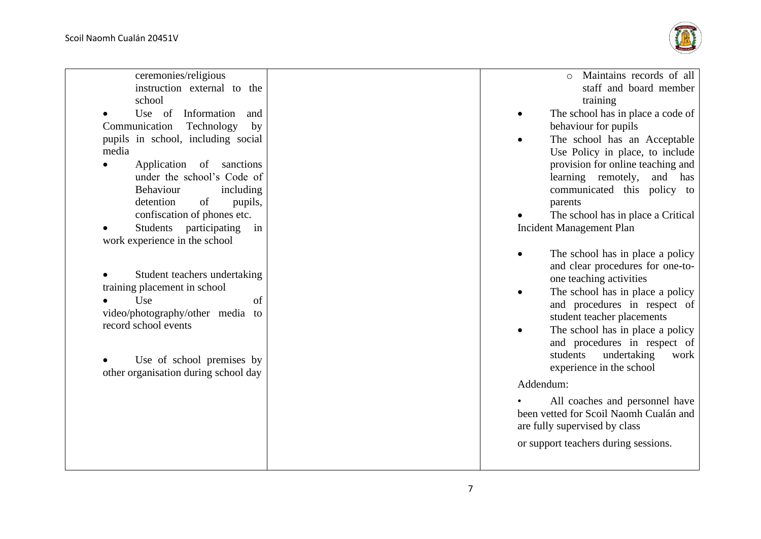ceremonies/religious



| instruction external to the<br>school                            |
|------------------------------------------------------------------|
| Use of Information<br>and                                        |
| Technology<br>Communication<br>by                                |
| pupils in school, including social<br>media                      |
| Application<br>of<br>sanctions                                   |
| under the school's Code of                                       |
| Behaviour<br>including                                           |
| detention<br>pupils,<br>of                                       |
| confiscation of phones etc.                                      |
| participating<br>Students<br>in<br>work experience in the school |
|                                                                  |
|                                                                  |
| Student teachers undertaking                                     |
| training placement in school                                     |
| Use<br>of                                                        |
| video/photography/other media to                                 |
| record school events                                             |
|                                                                  |
| Use of school premises by                                        |
| other organisation during school day                             |
|                                                                  |
|                                                                  |
|                                                                  |
|                                                                  |
|                                                                  |

- o Maintains records of all staff and board member training
- The school has in place a code of behaviour for pupils
- The school has an Acceptable Use Policy in place, to include provision for online teaching and learning remotely, and has communicated this policy to parents
- The school has in place a Critical Incident Management Pla n
- The school has in place a policy and clear procedures for one -to one teaching activities
- The school has in place a policy and procedures in respect of student teacher placements
- The school has in place a policy and procedures in respect of students undertaking work experience in the school

Addendum:<br>All coaches and personnel have been vetted for Scoil Naomh Cualán and are fully supervised by class

or support teachers during sessions.